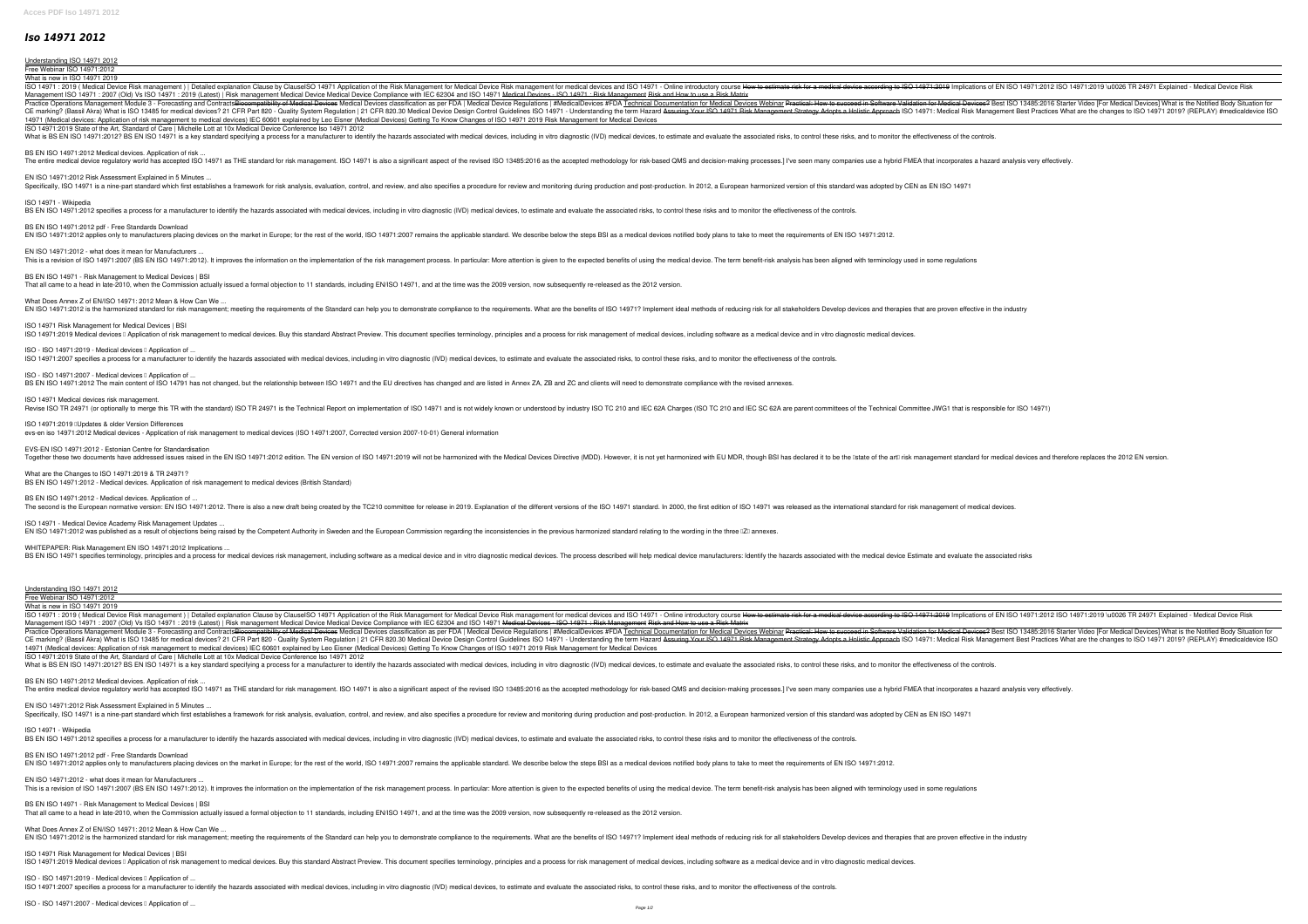## *Iso 14971 2012*

The second is the European normative version: EN ISO 14971:2012. There is also a new draft being created by the TC210 committee for release in 2019. Explanation of the different versions of the ISO 14971 standard. In 2000, ISO 14971 - Medical Device Academy Risk Management Updates ...

EN ISO 14971:2012 was published as a result of objections being raised by the Competent Authority in Sweden and the European Commission regarding the inconsistencies in the previous harmonized standard relating to the word

WHITEPAPER: Risk Management EN ISO 14971:2012 Implications ... BS EN ISO 14971 specifies terminology, principles and a process for medical devices risk management, including software as a medical device and in vitro diagnostic medical device and in vitro diagnostic medical device manu

EN ISO 14971:2012 Risk Assessment Explained in 5 Minutes ... Specifically, ISO 14971 is a nine-part standard which first establishes a framework for risk analysis, evaluation, control, and review, and also specifies a procedure for review and monitoring during production. In 2012, a

BS EN ISO 14971:2012 pdf - Free Standards Download EN ISO 14971:2012 applies only to manufacturers placing devices on the market in Europe; for the rest of the world, ISO 14971:2007 remains the applicable standard. We describe below the steps BSI as a medical devices notif

EN ISO 14971:2012 - what does it mean for Manufacturers ... This is a revision of ISO 14971:2007 (BS EN ISO 14971:2012). It improves the information on the implementation of the risk management process. In particular: More attention is given to the expected benefits of using the me

What Does Annex Z of EN/ISO 14971: 2012 Mean & How Can We ... EN ISO 14971:2012 is the harmonized standard for risk management; meeting the requirements of the Standard can help you to demonstrate compliance to the requirements. What are the benefits of ISO 14971? Implement ideal met

ISO 14971 Risk Management for Medical Devices | BSI ISO 14971:2019 Medical devices II Application of risk management to medical devices. Buy this standard Abstract Preview. This document specifies terminology, principles and a process for risk management of medical devices,

ISO - ISO 14971:2019 - Medical devices **Lapplication of ...** 

ISO - ISO 14971:2007 - Medical devices I Application of ...

| Understanding ISO 14971 2012                                                                                                                                                                                                                                                                                                                                                                                                                                                                                                                                                                                                                                                              |
|-------------------------------------------------------------------------------------------------------------------------------------------------------------------------------------------------------------------------------------------------------------------------------------------------------------------------------------------------------------------------------------------------------------------------------------------------------------------------------------------------------------------------------------------------------------------------------------------------------------------------------------------------------------------------------------------|
| Free Webinar ISO 14971:2012                                                                                                                                                                                                                                                                                                                                                                                                                                                                                                                                                                                                                                                               |
| What is new in ISO 14971 2019                                                                                                                                                                                                                                                                                                                                                                                                                                                                                                                                                                                                                                                             |
| ISO 14971: 2019 (Medical Device Risk management)   Detailed explanation Clause by ClauseISO 14971 Application of the Risk Management for medical devices and ISO 14971:2019 Implications of EN ISO 14971:2012 ISO 14971:2019 \<br>Management ISO 14971: 2007 (Old) Vs ISO 14971: 2019 (Latest)   Risk management Medical Device Medical Device Compliance with IEC 62304 and ISO 14971 Medical Devices - ISO 14971: Risk Management Risk and How to use a Risk M                                                                                                                                                                                                                          |
| Practice Operations Management Module 3 - Forecasting and Contracts <del>Biocompatibility of Medical Devices</del> Medical Devices classification as per FDA   Medical Devices Webinar Praction as per FDA   Medical Devices #FDA Techni<br>Only System Regulation   21 CFR 820.30 Medical Revices 19 21 CFR Part 820 - Quality System Regulation   21 CFR 820.30 Medical Device Design Control Guidelines ISO 14971. Medical Risk Management Best Practices What are the<br>14971 (Medical devices: Application of risk management to medical devices) IEC 60601 explained by Leo Eisner (Medical Devices) Getting To Know Changes of ISO 14971 2019 Risk Management for Medical Devices |
| ISO 14971:2019 State of the Art, Standard of Care   Michelle Lott at 10x Medical Device Conference Iso 14971 2012<br>What is BS EN ISO 14971:2012? BS EN ISO 14971 is a key standard specifying a process for a manufacturer to identify the hazards associated with medical devices, including in vitro diagnostic (IVD) medical devices, to estim                                                                                                                                                                                                                                                                                                                                       |
| BS EN ISO 14971:2012 Medical devices. Application of risk<br>The entire medical device regulatory world has accepted ISO 14971 as THE standard for risk management. ISO 14971 is also a significant aspect of the revised ISO 13485:2016 as the accepted methodology for risk-based QMS and                                                                                                                                                                                                                                                                                                                                                                                               |
| EN ISO 14971:2012 Risk Assessment Explained in 5 Minutes<br>Specifically, ISO 14971 is a nine-part standard which first establishes a framework for risk analysis, evaluation, control, and review, and also specifies a procedure for review and monitoring during production. In 2012, a                                                                                                                                                                                                                                                                                                                                                                                                |
| ISO 14971 - Wikipedia<br>BS EN ISO 14971:2012 specifies a process for a manufacturer to identify the hazards associated with medical devices, including in vitro diagnostic (IVD) medical devices, to estimate and evaluate the associated risks, to co                                                                                                                                                                                                                                                                                                                                                                                                                                   |
| BS EN ISO 14971:2012 pdf - Free Standards Download<br>EN ISO 14971:2012 applies only to manufacturers placing devices on the market in Europe; for the rest of the world, ISO 14971:2007 remains the applicable standard. We describe below the steps BSI as a medical devices notif                                                                                                                                                                                                                                                                                                                                                                                                      |
| EN ISO 14971:2012 - what does it mean for Manufacturers.<br>This is a revision of ISO 14971:2007 (BS EN ISO 14971:2012). It improves the information on the implementation of the risk management process. In particular: More attention is given to the expected benefits of using the me                                                                                                                                                                                                                                                                                                                                                                                                |
| BS EN ISO 14971 - Risk Management to Medical Devices   BSI<br>That all came to a head in late-2010, when the Commission actually issued a formal objection to 11 standards, including EN/ISO 14971, and at the time was the 2009 version, now subsequently re-released as the 2012 version.                                                                                                                                                                                                                                                                                                                                                                                               |
| What Does Annex Z of EN/ISO 14971: 2012 Mean & How Can We.<br>EN ISO 14971:2012 is the harmonized standard for risk management; meeting the requirements of the Standard can help you to demonstrate compliance to the requirements. What are the benefits of ISO 14971? Implement ideal met                                                                                                                                                                                                                                                                                                                                                                                              |
| ISO 14971 Risk Management for Medical Devices   BSI<br>ISO 14971:2019 Medical devices [] Application of risk management to medical devices. Buy this standard Abstract Preview. This document specifies terminology, principles and a process for risk management of medical devices,                                                                                                                                                                                                                                                                                                                                                                                                     |
| ISO - ISO 14971:2019 - Medical devices I Application of<br>ISO 14971:2007 specifies a process for a manufacturer to identify the hazards associated with medical devices, including in vitro diagnostic (IVD) medical devices, to estimate and evaluate the associated risks, to control                                                                                                                                                                                                                                                                                                                                                                                                  |
| ISO - ISO 14971:2007 - Medical devices I Application of<br>BS EN ISO 14971:2012 The main content of ISO 14791 has not changed, but the relationship between ISO 14971 and the EU directives has changed and are listed in Annex ZA, ZB and ZC and clients will need to demonstrate compli                                                                                                                                                                                                                                                                                                                                                                                                 |
| ISO 14971 Medical devices risk management<br>Revise ISO TR 24971 (or optionally to merge this TR with the standard) ISO TR 24971 is the Technical Report on implementation of ISO 14971 and is not widely known or understood by industry ISO TC 210 and IEC SC 62A are par                                                                                                                                                                                                                                                                                                                                                                                                               |
| ISO 14971:2019 IUpdates & older Version Differences<br>evs-en iso 14971:2012 Medical devices - Application of risk management to medical devices (ISO 14971:2007, Corrected version 2007-10-01) General information                                                                                                                                                                                                                                                                                                                                                                                                                                                                       |
| EVS-EN ISO 14971:2012 - Estonian Centre for Standardisation<br>Together these two documents have addressed issues raised in the EN ISO 14971:2012 edition. The EN version of ISO 14971:2019 will not be harmonized with the Medical Devices Directive (MDD). However, it is not yet harmonize                                                                                                                                                                                                                                                                                                                                                                                             |
| What are the Changes to ISO 14971:2019 & TR 24971?<br>BS EN ISO 14971:2012 - Medical devices. Application of risk management to medical devices (British Standard)                                                                                                                                                                                                                                                                                                                                                                                                                                                                                                                        |
|                                                                                                                                                                                                                                                                                                                                                                                                                                                                                                                                                                                                                                                                                           |

ISO 14971:2007 specifies a process for a manufacturer to identify the hazards associated with medical devices, including in vitro diagnostic (IVD) medical devices, to estimate and evaluate the associated risks, to control

BS EN ISO 14971:2012 - Medical devices. Application of ...

## Understanding ISO 14971 2012

Free Webinar ISO 14971:2012 What is new in ISO 14971 2019

ISO 14971: 2019 (Medical Device Risk management) | Detailed explanation Clause by ClauseISO 14971 Application of the Risk Management for medical devices and ISO 14971:2019 Implications of EN ISO 14971:2012 ISO 14971:2012 I Management ISO 14971: 2007 (Old) Vs ISO 14971: 2019 (Latest) | Risk management Medical Device Medical Device Compliance with IEC 62304 and ISO 14971 Medical Devices - ISO 14971: Risk Management Risk and How to use a Risk M Practice Operations Management Module 3 - Forecasting and Contracts<del>Biocompatibility of Medical Devices</del> Medical Devices classification as per FDA | Medical Devices Webinar Practical: How to succeed in Software Validation Only System Regulation | 21 CFR 820.30 Medical Risk Management Strategy Adopts a Hollistic Approach ISO 14971: Medical Risk Management Best Practices What are the changes to ISO 14971 2019? (REPLAY) #medicaldevice ISO 1497 14971 (Medical devices: Application of risk management to medical devices) IEC 60601 explained by Leo Eisner (Medical Devices) Getting To Know Changes of ISO 14971 2019 Risk Management for Medical Devices ISO 14971:2019 State of the Art, Standard of Care | Michelle Lott at 10x Medical Device Conference Iso 14971 2012 What is BS EN ISO 14971:2012? BS EN ISO 14971 is a key standard specifying a process for a manufacturer to identify the hazards associated with medical devices, including in vitro diagnostic (IVD) medical devices, to estim

BS EN ISO 14971:2012 Medical devices. Application of risk ...

The entire medical device regulatory world has accepted ISO 14971 as THE standard for risk management. ISO 14971 is also a significant aspect of the revised ISO 13485:2016 as the accepted methodology for risk-based QMS and

ISO 14971 - Wikipedia

BS EN ISO 14971:2012 specifies a process for a manufacturer to identify the hazards associated with medical devices, including in vitro diagnostic (IVD) medical devices, to estimate and evaluate the associated risks, to co

BS EN ISO 14971 - Risk Management to Medical Devices | BSI That all came to a head in late-2010, when the Commission actually issued a formal objection to 11 standards, including EN/ISO 14971, and at the time was the 2009 version, now subsequently re-released as the 2012 version.